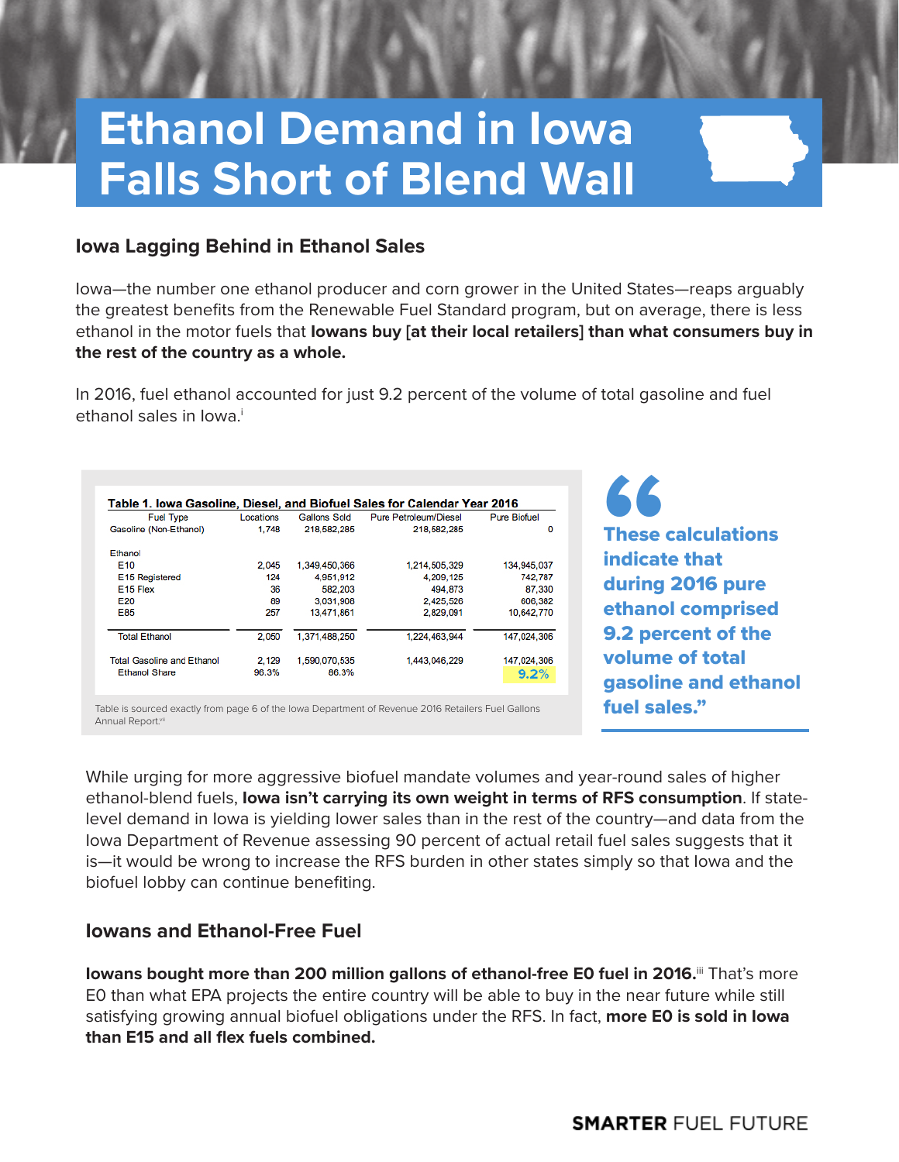# **Ethanol Demand in Iowa Falls Short of Blend Wall**

#### **Iowa Lagging Behind in Ethanol Sales**

Iowa—the number one ethanol producer and corn grower in the United States—reaps arguably the greatest benefits from the Renewable Fuel Standard program, but on average, there is less ethanol in the motor fuels that **Iowans buy [at their local retailers] than what consumers buy in the rest of the country as a whole.** 

In 2016, fuel ethanol accounted for just 9.2 percent of the volume of total gasoline and fuel ethanol sales in Iowa.<sup>i</sup>

| <b>Fuel Type</b>                  | Locations | Gallons Sold  | Pure Petroleum/Diesel | <b>Pure Biofuel</b> |
|-----------------------------------|-----------|---------------|-----------------------|---------------------|
| Gasoline (Non-Ethanol)            | 1,748     | 218,582,285   | 218,582,285           | $\Omega$            |
| Ethanol                           |           |               |                       |                     |
| E <sub>10</sub>                   | 2.045     | 1.349.450.366 | 1.214.505.329         | 134,945,037         |
| E <sub>15</sub> Registered        | 124       | 4,951,912     | 4,209,125             | 742,787             |
| E <sub>15</sub> Flex              | 36        | 582,203       | 494,873               | 87,330              |
| E20                               | 89        | 3.031.908     | 2,425,526             | 606.382             |
| E85                               | 257       | 13,471,861    | 2,829,091             | 10,642,770          |
| <b>Total Ethanol</b>              | 2.050     | 1.371.488.250 | 1.224.463.944         | 147.024.306         |
| <b>Total Gasoline and Ethanol</b> | 2.129     | 1,590,070,535 | 1,443,046,229         | 147,024,306         |
| <b>Ethanol Share</b>              | 96.3%     | 86.3%         |                       | 9.2%                |

Table is sourced exactly from page 6 of the Iowa Department of Revenue 2016 Retailers Fuel Gallons Annual Report.vi

These calculations indicate that during 2016 pure ethanol comprised 9.2 percent of the volume of total gasoline and ethanol fuel sales." **"**

While urging for more aggressive biofuel mandate volumes and year-round sales of higher ethanol-blend fuels, **Iowa isn't carrying its own weight in terms of RFS consumption**. If statelevel demand in Iowa is yielding lower sales than in the rest of the country—and data from the Iowa Department of Revenue assessing 90 percent of actual retail fuel sales suggests that it is—it would be wrong to increase the RFS burden in other states simply so that Iowa and the biofuel lobby can continue benefiting.

### **Iowans and Ethanol-Free Fuel**

**Iowans bought more than 200 million gallons of ethanol-free E0 fuel in 2016.** That's more E0 than what EPA projects the entire country will be able to buy in the near future while still satisfying growing annual biofuel obligations under the RFS. In fact, **more E0 is sold in Iowa than E15 and all flex fuels combined.**